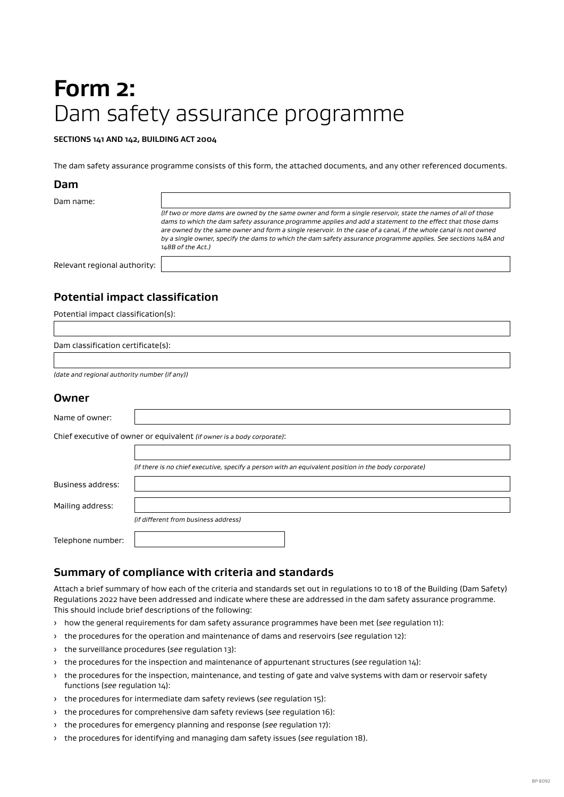# **Form 2:**  Dam safety assurance programme

#### **SECTIONS 141 AND 142, BUILDING ACT 2004**

The dam safety assurance programme consists of this form, the attached documents, and any other referenced documents.

#### **Dam**

| Dam name:                    |                                                                                                                                                                                                                                                                                                                                                                                                                                                                                        |
|------------------------------|----------------------------------------------------------------------------------------------------------------------------------------------------------------------------------------------------------------------------------------------------------------------------------------------------------------------------------------------------------------------------------------------------------------------------------------------------------------------------------------|
|                              | (If two or more dams are owned by the same owner and form a single reservoir, state the names of all of those<br>dams to which the dam safety assurance programme applies and add a statement to the effect that those dams<br>are owned by the same owner and form a single reservoir. In the case of a canal, if the whole canal is not owned<br>by a single owner, specify the dams to which the dam safety assurance programme applies. See sections 148A and<br>148B of the Act.) |
| Relevant regional authority: |                                                                                                                                                                                                                                                                                                                                                                                                                                                                                        |

# **Potential impact classification**

Potential impact classification(s):

*(date and regional authority number (if any))*

#### **Owner**

| Name of owner:                                                         |                                                                                                      |  |  |  |  |  |
|------------------------------------------------------------------------|------------------------------------------------------------------------------------------------------|--|--|--|--|--|
| Chief executive of owner or equivalent (if owner is a body corporate): |                                                                                                      |  |  |  |  |  |
|                                                                        |                                                                                                      |  |  |  |  |  |
|                                                                        | (if there is no chief executive, specify a person with an equivalent position in the body corporate) |  |  |  |  |  |
| Business address:                                                      |                                                                                                      |  |  |  |  |  |
| Mailing address:                                                       |                                                                                                      |  |  |  |  |  |
|                                                                        | (if different from business address)                                                                 |  |  |  |  |  |
| Telephone number:                                                      |                                                                                                      |  |  |  |  |  |

## **Summary of compliance with criteria and standards**

Attach a brief summary of how each of the criteria and standards set out in regulations 10 to 18 of the Building (Dam Safety) Regulations 2022 have been addressed and indicate where these are addressed in the dam safety assurance programme. This should include brief descriptions of the following:

- › how the general requirements for dam safety assurance programmes have been met (*see* regulation 11):
- › the procedures for the operation and maintenance of dams and reservoirs (*see* regulation 12):
- › the surveillance procedures (*see* regulation 13):
- › the procedures for the inspection and maintenance of appurtenant structures (*see* regulation 14):
- › the procedures for the inspection, maintenance, and testing of gate and valve systems with dam or reservoir safety functions (*see* regulation 14):
- › the procedures for intermediate dam safety reviews (*see* regulation 15):
- › the procedures for comprehensive dam safety reviews (*see* regulation 16):
- › the procedures for emergency planning and response (*see* regulation 17):
- › the procedures for identifying and managing dam safety issues (*see* regulation 18).